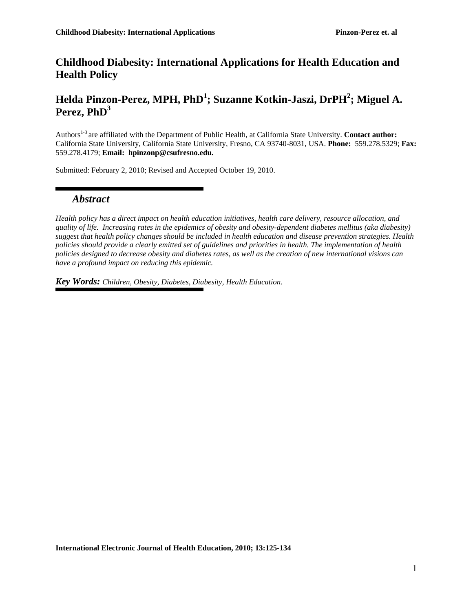## **Childhood Diabesity: International Applications for Health Education and Health Policy**

# **Helda Pinzon-Perez, MPH, PhD<sup>1</sup> ; Suzanne Kotkin-Jaszi, DrPH<sup>2</sup> ; Miguel A. Perez, PhD<sup>3</sup>**

Authors 1-3 are affiliated with the Department of Public Health, at California State University. **Contact author:**  California State University, California State University, Fresno, CA 93740-8031, USA. **Phone:** 559.278.5329; **Fax:**  559.278.4179; **Email: hpinzonp@csufresno.edu.** 

Submitted: February 2, 2010; Revised and Accepted October 19, 2010.

### *Abstract*

*Health policy has a direct impact on health education initiatives, health care delivery, resource allocation, and quality of life. Increasing rates in the epidemics of obesity and obesity-dependent diabetes mellitus (aka diabesity) suggest that health policy changes should be included in health education and disease prevention strategies. Health policies should provide a clearly emitted set of guidelines and priorities in health. The implementation of health policies designed to decrease obesity and diabetes rates, as well as the creation of new international visions can have a profound impact on reducing this epidemic.*

*Key Words: Children, Obesity, Diabetes, Diabesity, Health Education.*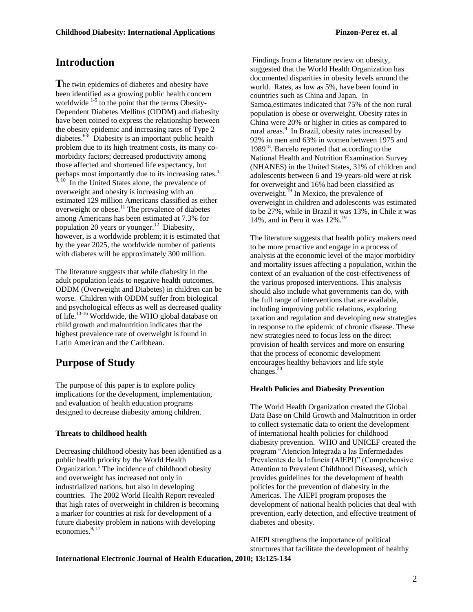## **Introduction**

**T**he twin epidemics of diabetes and obesity have been identified as a growing public health concern worldwide  $1-5$  to the point that the terms Obesity-Dependent Diabetes Mellitus (ODDM) and diabesity have been coined to express the relationship between the obesity epidemic and increasing rates of Type 2 diabetes.<sup>6-8</sup> Diabesity is an important public health problem due to its high treatment costs, its many comorbidity factors; decreased productivity among those affected and shortened life expectancy, but perhaps most importantly due to its increasing rates.<sup>1, 9, 10</sup> In the United States alone, the prevalence of overweight and obesity is increasing with an estimated 129 million Americans classified as either overweight or obese.<sup>11</sup> The prevalence of diabetes among Americans has been estimated at 7.3% for population 20 years or younger.<sup>12</sup> Diabesity, however, is a worldwide problem; it is estimated that by the year 2025, the worldwide number of patients with diabetes will be approximately 300 million.

The literature suggests that while diabesity in the adult population leads to negative health outcomes, ODDM (Overweight and Diabetes) in children can be worse. Children with ODDM suffer from biological and psychological effects as well as decreased quality of life.<sup>13-16</sup> Worldwide, the WHO global database on child growth and malnutrition indicates that the highest prevalence rate of overweight is found in Latin American and the Caribbean.

## **Purpose of Study**

The purpose of this paper is to explore policy implications for the development, implementation, and evaluation of health education programs designed to decrease diabesity among children.

### **Threats to childhood health**

Decreasing childhood obesity has been identified as a public health priority by the World Health Organization.<sup>5</sup> The incidence of childhood obesity and overweight has increased not only in industrialized nations, but also in developing countries. The 2002 World Health Report revealed that high rates of overweight in children is becoming a marker for countries at risk for development of a future diabesity problem in nations with developing economies. $9,17$ 

Findings from a literature review on obesity, suggested that the World Health Organization has documented disparities in obesity levels around the world. Rates, as low as 5%, have been found in countries such as China and Japan. In Samoa,estimates indicated that 75% of the non rural population is obese or overweight. Obesity rates in China were 20% or higher in cities as compared to rural areas.<sup>9</sup> In Brazil, obesity rates increased by 92% in men and 63% in women between 1975 and 1989<sup>18</sup>. Barcelo reported that according to the National Health and Nutrition Examination Survey (NHANES) in the United States, 31% of children and adolescents between 6 and 19-years-old were at risk for overweight and 16% had been classified as overweight.<sup>19</sup> In Mexico, the prevalence of overweight in children and adolescents was estimated to be 27%, while in Brazil it was 13%, in Chile it was 14%, and in Peru it was  $12\%$ .<sup>19</sup>

The literature suggests that health policy makers need to be more proactive and engage in a process of analysis at the economic level of the major morbidity and mortality issues affecting a population, within the context of an evaluation of the cost-effectiveness of the various proposed interventions. This analysis should also include what governments can do, with the full range of interventions that are available, including improving public relations, exploring taxation and regulation and developing new strategies in response to the epidemic of chronic disease. These new strategies need to focus less on the direct provision of health services and more on ensuring that the process of economic development encourages healthy behaviors and life style changes. $20$ 

### **Health Policies and Diabesity Prevention**

The World Health Organization created the Global Data Base on Child Growth and Malnutrition in order to collect systematic data to orient the development of international health policies for childhood diabesity prevention. WHO and UNICEF created the program "Atencion Integrada a las Enfermedades Prevalentes de la Infancia (AIEPI)" (Comprehensive Attention to Prevalent Childhood Diseases), which provides guidelines for the development of health policies for the prevention of diabesity in the Americas. The AIEPI program proposes the development of national health policies that deal with prevention, early detection, and effective treatment of diabetes and obesity.

AIEPI strengthens the importance of political structures that facilitate the development of healthy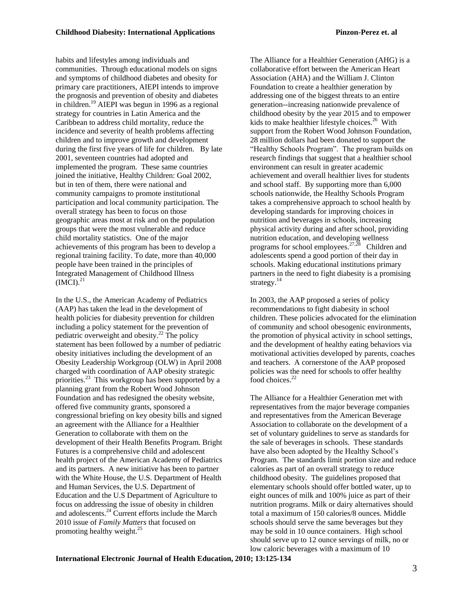habits and lifestyles among individuals and communities. Through educational models on signs and symptoms of childhood diabetes and obesity for primary care practitioners, AIEPI intends to improve the prognosis and prevention of obesity and diabetes in children.<sup>19</sup> AIEPI was begun in 1996 as a regional strategy for countries in Latin America and the Caribbean to address child mortality, reduce the incidence and severity of health problems affecting children and to improve growth and development during the first five years of life for children. By late 2001, seventeen countries had adopted and implemented the program. These same countries joined the initiative, Healthy Children: Goal 2002, but in ten of them, there were national and community campaigns to promote institutional participation and local community participation. The overall strategy has been to focus on those geographic areas most at risk and on the population groups that were the most vulnerable and reduce child mortality statistics. One of the major achievements of this program has been to develop a regional training facility. To date, more than 40,000 people have been trained in the principles of Integrated Management of Childhood Illness  $(IMCI).<sup>21</sup>$ 

In the U.S., the American Academy of Pediatrics (AAP) has taken the lead in the development of health policies for diabesity prevention for children including a policy statement for the prevention of pediatric overweight and obesity.<sup>22</sup> The policy statement has been followed by a number of pediatric obesity initiatives including the development of an Obesity Leadership Workgroup (OLW) in April 2008 charged with coordination of AAP obesity strategic priorities.<sup>23</sup> This workgroup has been supported by a planning grant from the Robert Wood Johnson Foundation and has redesigned the obesity website, offered five community grants, sponsored a congressional briefing on key obesity bills and signed an agreement with the Alliance for a Healthier Generation to collaborate with them on the development of their Health Benefits Program. Bright Futures is a comprehensive child and adolescent health project of the American Academy of Pediatrics and its partners. A new initiative has been to partner with the White House, the U.S. Department of Health and Human Services, the U.S. Department of Education and the U.S Department of Agriculture to focus on addressing the issue of obesity in children and adolescents.<sup>24</sup> Current efforts include the March 2010 issue of *Family Matters* that focused on promoting healthy weight.<sup>25</sup>

The Alliance for a Healthier Generation (AHG) is a collaborative effort between the American Heart Association (AHA) and the William J. Clinton Foundation to create a healthier generation by addressing one of the biggest threats to an entire generation--increasing nationwide prevalence of childhood obesity by the year 2015 and to empower kids to make healthier lifestyle choices.<sup>26</sup> With support from the Robert Wood Johnson Foundation, 28 million dollars had been donated to support the "Healthy Schools Program". The program builds on research findings that suggest that a healthier school environment can result in greater academic achievement and overall healthier lives for students and school staff. By supporting more than 6,000 schools nationwide, the Healthy Schools Program takes a comprehensive approach to school health by developing standards for improving choices in nutrition and beverages in schools, increasing physical activity during and after school, providing nutrition education, and developing wellness programs for school employees.<sup>27,28</sup> Children and adolescents spend a good portion of their day in schools. Making educational institutions primary partners in the need to fight diabesity is a promising strategy. $^{14}$ 

In 2003, the AAP proposed a series of policy recommendations to fight diabesity in school children. These policies advocated for the elimination of community and school obesogenic environments, the promotion of physical activity in school settings, and the development of healthy eating behaviors via motivational activities developed by parents, coaches and teachers. A cornerstone of the AAP proposed policies was the need for schools to offer healthy food choices.<sup>22</sup>

The Alliance for a Healthier Generation met with representatives from the major beverage companies and representatives from the American Beverage Association to collaborate on the development of a set of voluntary guidelines to serve as standards for the sale of beverages in schools. These standards have also been adopted by the Healthy School's Program. The standards limit portion size and reduce calories as part of an overall strategy to reduce childhood obesity. The guidelines proposed that elementary schools should offer bottled water, up to eight ounces of milk and 100% juice as part of their nutrition programs. Milk or dairy alternatives should total a maximum of 150 calories/8 ounces. Middle schools should serve the same beverages but they may be sold in 10 ounce containers. High school should serve up to 12 ounce servings of milk, no or low caloric beverages with a maximum of 10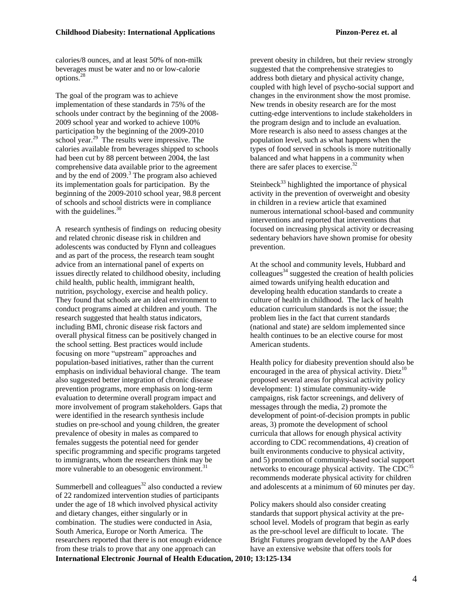calories/8 ounces, and at least 50% of non-milk beverages must be water and no or low-calorie options.<sup>28</sup>

The goal of the program was to achieve implementation of these standards in 75% of the schools under contract by the beginning of the 2008- 2009 school year and worked to achieve 100% participation by the beginning of the 2009-2010 school year.<sup>29</sup> The results were impressive. The calories available from beverages shipped to schools had been cut by 88 percent between 2004, the last comprehensive data available prior to the agreement and by the end of 2009.<sup>3</sup> The program also achieved its implementation goals for participation. By the beginning of the 2009-2010 school year, 98.8 percent of schools and school districts were in compliance with the guidelines. $30$ 

A research synthesis of findings on reducing obesity and related chronic disease risk in children and adolescents was conducted by Flynn and colleagues and as part of the process, the research team sought advice from an international panel of experts on issues directly related to childhood obesity, including child health, public health, immigrant health, nutrition, psychology, exercise and health policy. They found that schools are an ideal environment to conduct programs aimed at children and youth. The research suggested that health status indicators, including BMI, chronic disease risk factors and overall physical fitness can be positively changed in the school setting. Best practices would include focusing on more "upstream" approaches and population-based initiatives, rather than the current emphasis on individual behavioral change. The team also suggested better integration of chronic disease prevention programs, more emphasis on long-term evaluation to determine overall program impact and more involvement of program stakeholders. Gaps that were identified in the research synthesis include studies on pre-school and young children, the greater prevalence of obesity in males as compared to females suggests the potential need for gender specific programming and specific programs targeted to immigrants, whom the researchers think may be more vulnerable to an obesogenic environment.<sup>31</sup>

**International Electronic Journal of Health Education, 2010; 13:125-134** Summerbell and colleagues $32$  also conducted a review of 22 randomized intervention studies of participants under the age of 18 which involved physical activity and dietary changes, either singularly or in combination. The studies were conducted in Asia, South America, Europe or North America. The researchers reported that there is not enough evidence from these trials to prove that any one approach can

prevent obesity in children, but their review strongly suggested that the comprehensive strategies to address both dietary and physical activity change, coupled with high level of psycho-social support and changes in the environment show the most promise. New trends in obesity research are for the most cutting-edge interventions to include stakeholders in the program design and to include an evaluation. More research is also need to assess changes at the population level, such as what happens when the types of food served in schools is more nutritionally balanced and what happens in a community when there are safer places to exercise. $32$ 

Steinbeck<sup>33</sup> highlighted the importance of physical activity in the prevention of overweight and obesity in children in a review article that examined numerous international school-based and community interventions and reported that interventions that focused on increasing physical activity or decreasing sedentary behaviors have shown promise for obesity prevention.

At the school and community levels, Hubbard and  $\text{colleasures}^{34}$  suggested the creation of health policies aimed towards unifying health education and developing health education standards to create a culture of health in childhood. The lack of health education curriculum standards is not the issue; the problem lies in the fact that current standards (national and state) are seldom implemented since health continues to be an elective course for most American students.

Health policy for diabesity prevention should also be encouraged in the area of physical activity. Dietz<sup>10</sup> proposed several areas for physical activity policy development: 1) stimulate community-wide campaigns, risk factor screenings, and delivery of messages through the media, 2) promote the development of point-of-decision prompts in public areas, 3) promote the development of school curricula that allows for enough physical activity according to CDC recommendations, 4) creation of built environments conducive to physical activity, and 5) promotion of community-based social support networks to encourage physical activity. The  $CDC^{35}$ recommends moderate physical activity for children and adolescents at a minimum of 60 minutes per day.

Policy makers should also consider creating standards that support physical activity at the preschool level. Models of program that begin as early as the pre-school level are difficult to locate. The Bright Futures program developed by the AAP does have an extensive website that offers tools for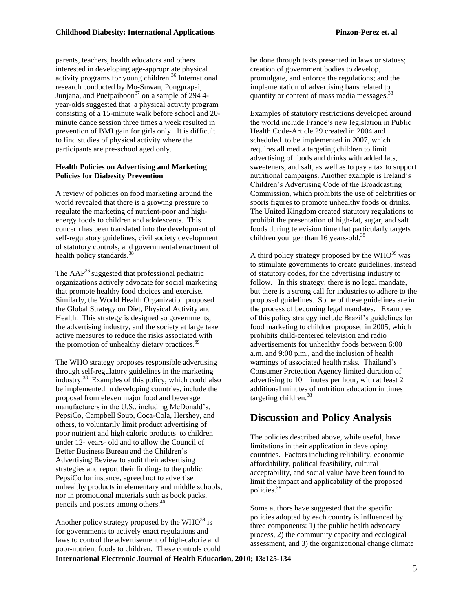parents, teachers, health educators and others interested in developing age-appropriate physical activity programs for young children.<sup>36</sup> International research conducted by Mo-Suwan, Pongprapai, Junjana, and Puetpaiboon<sup>37</sup> on a sample of 294 4year-olds suggested that a physical activity program consisting of a 15-minute walk before school and 20 minute dance session three times a week resulted in prevention of BMI gain for girls only. It is difficult to find studies of physical activity where the participants are pre-school aged only.

### **Health Policies on Advertising and Marketing Policies for Diabesity Prevention**

A review of policies on food marketing around the world revealed that there is a growing pressure to regulate the marketing of nutrient-poor and highenergy foods to children and adolescents. This concern has been translated into the development of self-regulatory guidelines, civil society development of statutory controls, and governmental enactment of health policy standards.<sup>38</sup>

The  $AAP^{36}$  suggested that professional pediatric organizations actively advocate for social marketing that promote healthy food choices and exercise. Similarly, the World Health Organization proposed the Global Strategy on Diet, Physical Activity and Health. This strategy is designed so governments, the advertising industry, and the society at large take active measures to reduce the risks associated with the promotion of unhealthy dietary practices.<sup>39</sup>

The WHO strategy proposes responsible advertising through self-regulatory guidelines in the marketing industry.<sup>38</sup> Examples of this policy, which could also be implemented in developing countries, include the proposal from eleven major food and beverage manufacturers in the U.S., including McDonald's, PepsiCo, Campbell Soup, Coca-Cola, Hershey, and others, to voluntarily limit product advertising of poor nutrient and high caloric products to children under 12- years- old and to allow the Council of Better Business Bureau and the Children"s Advertising Review to audit their advertising strategies and report their findings to the public. PepsiCo for instance, agreed not to advertise unhealthy products in elementary and middle schools, nor in promotional materials such as book packs, pencils and posters among others.<sup>40</sup>

**International Electronic Journal of Health Education, 2010; 13:125-134** Another policy strategy proposed by the  $WHO^{39}$  is for governments to actively enact regulations and laws to control the advertisement of high-calorie and poor-nutrient foods to children. These controls could

be done through texts presented in laws or statues; creation of government bodies to develop, promulgate, and enforce the regulations; and the implementation of advertising bans related to quantity or content of mass media messages.<sup>38</sup>

Examples of statutory restrictions developed around the world include France"s new legislation in Public Health Code-Article 29 created in 2004 and scheduled to be implemented in 2007, which requires all media targeting children to limit advertising of foods and drinks with added fats, sweeteners, and salt, as well as to pay a tax to support nutritional campaigns. Another example is Ireland"s Children"s Advertising Code of the Broadcasting Commission, which prohibits the use of celebrities or sports figures to promote unhealthy foods or drinks. The United Kingdom created statutory regulations to prohibit the presentation of high-fat, sugar, and salt foods during television time that particularly targets children younger than 16 years-old.<sup>38</sup>

A third policy strategy proposed by the  $WHO^{39}$  was to stimulate governments to create guidelines, instead of statutory codes, for the advertising industry to follow. In this strategy, there is no legal mandate, but there is a strong call for industries to adhere to the proposed guidelines. Some of these guidelines are in the process of becoming legal mandates. Examples of this policy strategy include Brazil"s guidelines for food marketing to children proposed in 2005, which prohibits child-centered television and radio advertisements for unhealthy foods between 6:00 a.m. and 9:00 p.m., and the inclusion of health warnings of associated health risks. Thailand's Consumer Protection Agency limited duration of advertising to 10 minutes per hour, with at least 2 additional minutes of nutrition education in times targeting children.<sup>38</sup>

# **Discussion and Policy Analysis**

The policies described above, while useful, have limitations in their application in developing countries. Factors including reliability, economic affordability, political feasibility, cultural acceptability, and social value have been found to limit the impact and applicability of the proposed policies.<sup>38</sup>

Some authors have suggested that the specific policies adopted by each country is influenced by three components: 1) the public health advocacy process, 2) the community capacity and ecological assessment, and 3) the organizational change climate

5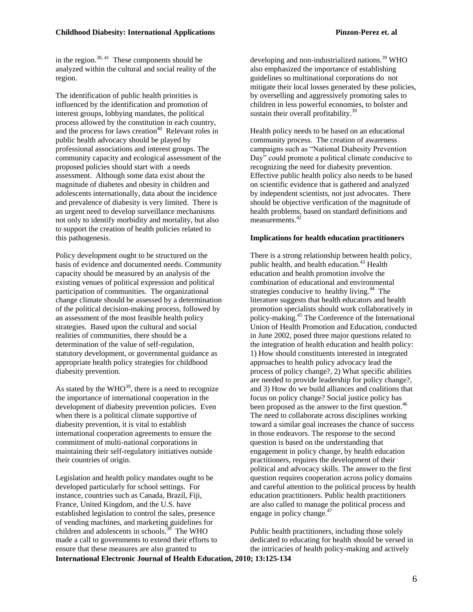in the region. $38, 41$  These components should be analyzed within the cultural and social reality of the region.

The identification of public health priorities is influenced by the identification and promotion of interest groups, lobbying mandates, the political process allowed by the constitution in each country, and the process for laws creation<sup>40</sup> Relevant roles in public health advocacy should be played by professional associations and interest groups. The community capacity and ecological assessment of the proposed policies should start with a needs assessment. Although some data exist about the magnitude of diabetes and obesity in children and adolescents internationally, data about the incidence and prevalence of diabesity is very limited. There is an urgent need to develop surveillance mechanisms not only to identify morbidity and mortality, but also to support the creation of health policies related to this pathogenesis.

Policy development ought to be structured on the basis of evidence and documented needs. Community capacity should be measured by an analysis of the existing venues of political expression and political participation of communities. The organizational change climate should be assessed by a determination of the political decision-making process, followed by an assessment of the most feasible health policy strategies. Based upon the cultural and social realities of communities, there should be a determination of the value of self-regulation, statutory development, or governmental guidance as appropriate health policy strategies for childhood diabesity prevention.

As stated by the  $WHO^{39}$ , there is a need to recognize the importance of international cooperation in the development of diabesity prevention policies. Even when there is a political climate supportive of diabesity prevention, it is vital to establish international cooperation agreements to ensure the commitment of multi-national corporations in maintaining their self-regulatory initiatives outside their countries of origin.

**International Electronic Journal of Health Education, 2010; 13:125-134** Legislation and health policy mandates ought to be developed particularly for school settings. For instance, countries such as Canada, Brazil, Fiji, France, United Kingdom, and the U.S. have established legislation to control the sales, presence of vending machines, and marketing guidelines for children and adolescents in schools. $38$  The WHO made a call to governments to extend their efforts to ensure that these measures are also granted to

developing and non-industrialized nations.<sup>39</sup> WHO also emphasized the importance of establishing guidelines so multinational corporations do not mitigate their local losses generated by these policies, by overselling and aggressively promoting sales to children in less powerful economies, to bolster and sustain their overall profitability. $39$ 

Health policy needs to be based on an educational community process. The creation of awareness campaigns such as "National Diabesity Prevention Day" could promote a political climate conducive to recognizing the need for diabesity prevention. Effective public health policy also needs to be based on scientific evidence that is gathered and analyzed by independent scientists, not just advocates. There should be objective verification of the magnitude of health problems, based on standard definitions and measurements.<sup>42</sup>

#### **Implications for health education practitioners**

There is a strong relationship between health policy, public health, and health education.<sup>43</sup> Health education and health promotion involve the combination of educational and environmental strategies conducive to healthy living.<sup>44</sup> The literature suggests that health educators and health promotion specialists should work collaboratively in policy-making.<sup>45</sup> The Conference of the International Union of Health Promotion and Education, conducted in June 2002, posed three major questions related to the integration of health education and health policy: 1) How should constituents interested in integrated approaches to health policy advocacy lead the process of policy change?, 2) What specific abilities are needed to provide leadership for policy change?, and 3) How do we build alliances and coalitions that focus on policy change? Social justice policy has been proposed as the answer to the first question.<sup>46</sup> The need to collaborate across disciplines working toward a similar goal increases the chance of success in those endeavors. The response to the second question is based on the understanding that engagement in policy change, by health education practitioners, requires the development of their political and advocacy skills. The answer to the first question requires cooperation across policy domains and careful attention to the political process by health education practitioners. Public health practitioners are also called to manage the political process and engage in policy change.<sup>47</sup>

Public health practitioners, including those solely dedicated to educating for health should be versed in the intricacies of health policy-making and actively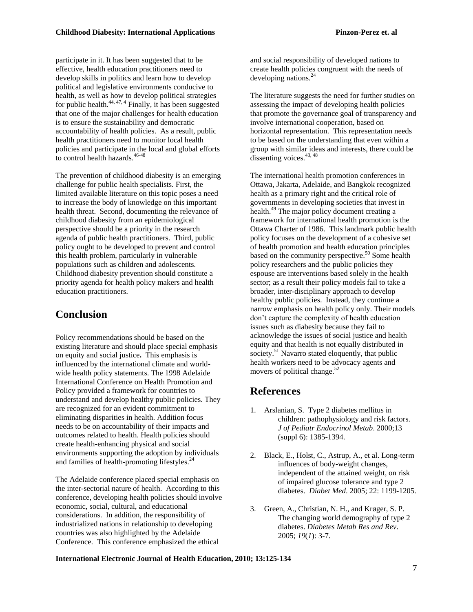participate in it. It has been suggested that to be effective, health education practitioners need to develop skills in politics and learn how to develop political and legislative environments conducive to health, as well as how to develop political strategies for public health.<sup>44, 47, 4</sup> Finally, it has been suggested that one of the major challenges for health education is to ensure the sustainability and democratic accountability of health policies. As a result, public health practitioners need to monitor local health policies and participate in the local and global efforts to control health hazards.<sup>46-48</sup>

The prevention of childhood diabesity is an emerging challenge for public health specialists. First, the limited available literature on this topic poses a need to increase the body of knowledge on this important health threat. Second, documenting the relevance of childhood diabesity from an epidemiological perspective should be a priority in the research agenda of public health practitioners. Third, public policy ought to be developed to prevent and control this health problem, particularly in vulnerable populations such as children and adolescents. Childhood diabesity prevention should constitute a priority agenda for health policy makers and health education practitioners.

## **Conclusion**

Policy recommendations should be based on the existing literature and should place special emphasis on equity and social justice**.** This emphasis is influenced by the international climate and worldwide health policy statements. The 1998 Adelaide International Conference on Health Promotion and Policy provided a framework for countries to understand and develop healthy public policies. They are recognized for an evident commitment to eliminating disparities in health. Addition focus needs to be on accountability of their impacts and outcomes related to health. Health policies should create health-enhancing physical and social environments supporting the adoption by individuals and families of health-promoting lifestyles. $^{24}$ 

The Adelaide conference placed special emphasis on the inter-sectorial nature of health. According to this conference, developing health policies should involve economic, social, cultural, and educational considerations. In addition, the responsibility of industrialized nations in relationship to developing countries was also highlighted by the Adelaide Conference. This conference emphasized the ethical

and social responsibility of developed nations to create health policies congruent with the needs of developing nations.<sup>24</sup>

The literature suggests the need for further studies on assessing the impact of developing health policies that promote the governance goal of transparency and involve international cooperation, based on horizontal representation. This representation needs to be based on the understanding that even within a group with similar ideas and interests, there could be dissenting voices.<sup>43, 48</sup>

The international health promotion conferences in Ottawa, Jakarta, Adelaide, and Bangkok recognized health as a primary right and the critical role of governments in developing societies that invest in health.<sup>49</sup> The major policy document creating a framework for international health promotion is the Ottawa Charter of 1986. This landmark public health policy focuses on the development of a cohesive set of health promotion and health education principles based on the community perspective.<sup>50</sup> Some health policy researchers and the public policies they espouse are interventions based solely in the health sector; as a result their policy models fail to take a broader, inter-disciplinary approach to develop healthy public policies. Instead, they continue a narrow emphasis on health policy only. Their models don"t capture the complexity of health education issues such as diabesity because they fail to acknowledge the issues of social justice and health equity and that health is not equally distributed in society.<sup>51</sup> Navarro stated eloquently, that public health workers need to be advocacy agents and movers of political change.<sup>52</sup>

### **References**

- 1. Arslanian, S. Type 2 diabetes mellitus in children: pathophysiology and risk factors. *J of Pediatr Endocrinol Metab*. 2000;13 (suppl 6): 1385-1394.
- 2. Black, E., Holst, C., Astrup, A., et al. Long-term influences of body-weight changes, independent of the attained weight, on risk of impaired glucose tolerance and type 2 diabetes. *Diabet Med*. 2005; 22: 1199-1205.
- 3. Green, A., Christian, N. H., and Krøger, S. P. The changing world demography of type 2 diabetes. *Diabetes Metab Res and Rev*. 2005; *19*(*1*): 3-7.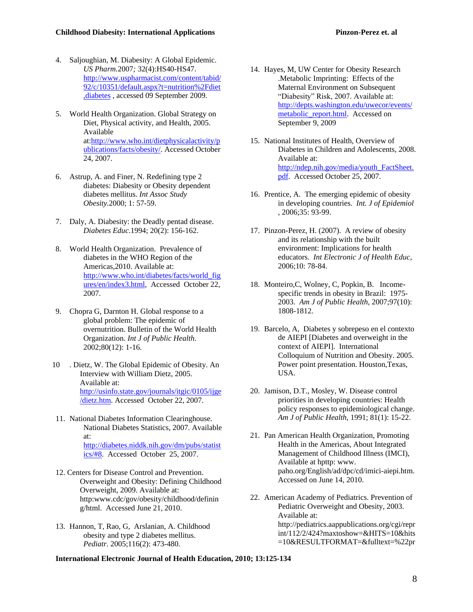- 4. Saljoughian, M. Diabesity: A Global Epidemic. *US Pharm.*2007*;* 32(4):HS40-HS47. [http://www.uspharmacist.com/content/tabid/](http://www.uspharmacist.com/content/tabid/92/c/10351/default.aspx?t=nutrition%2Fdiet,diabetes) [92/c/10351/default.aspx?t=nutrition%2Fdiet](http://www.uspharmacist.com/content/tabid/92/c/10351/default.aspx?t=nutrition%2Fdiet,diabetes) [,diabetes](http://www.uspharmacist.com/content/tabid/92/c/10351/default.aspx?t=nutrition%2Fdiet,diabetes) , accessed 09 September 2009.
- 5. World Health Organization. Global Strategy on Diet, Physical activity, and Health, 2005. Available at[:http://www.who.int/dietphysicalactivity/p](http://www.who.int/dietphysicalactivity/publications/facts/obesity/) [ublications/facts/obesity/.](http://www.who.int/dietphysicalactivity/publications/facts/obesity/) Accessed October 24, 2007.
- 6. Astrup, A. and Finer, N. Redefining type 2 diabetes: Diabesity or Obesity dependent diabetes mellitus. *Int Assoc Study Obesity.*2000; 1: 57-59.
- 7. Daly, A. Diabesity: the Deadly pentad disease. *Diabetes Educ*.1994; 20(2): 156-162.
- 8. World Health Organization. Prevalence of diabetes in the WHO Region of the Americas,2010. Available at: [http://www.who.int/diabetes/facts/world\\_fig](http://www.who.int/diabetes/facts/world_figures/en/index3.html) [ures/en/index3.html,](http://www.who.int/diabetes/facts/world_figures/en/index3.html) Accessed October 22, 2007.
- 9. Chopra G, Darnton H. Global response to a global problem: The epidemic of overnutrition. Bulletin of the World Health Organization. *Int J of Public Health*. 2002;80(12): 1-16.
- 10 . Dietz, W. The Global Epidemic of Obesity. An Interview with William Dietz, 2005. Available at: [http://usinfo.state.gov/journals/itgic/0105/ijge](http://usinfo.state.gov/journals/itgic/0105/ijge/dietz.htm) [/dietz.htm.](http://usinfo.state.gov/journals/itgic/0105/ijge/dietz.htm) Accessed October 22, 2007.
- 11. National Diabetes Information Clearinghouse. National Diabetes Statistics, 2007. Available at: [http://diabetes.niddk.nih.gov/dm/pubs/statist](http://diabetes.niddk.nih.gov/dm/pubs/statistics/#8) [ics/#8.](http://diabetes.niddk.nih.gov/dm/pubs/statistics/#8) Accessed October 25, 2007.
- 12. Centers for Disease Control and Prevention. Overweight and Obesity: Defining Childhood Overweight, 2009. Available at: http:www.cdc/gov/obesity/childhood/definin g/html. Accessed June 21, 2010.
- 13. Hannon, T, Rao, G, Arslanian, A. Childhood obesity and type 2 diabetes mellitus. *Pediatr.* 2005;116(2): 473-480.
- 14. Hayes, M, UW Center for Obesity Research .Metabolic Imprinting: Effects of the Maternal Environment on Subsequent "Diabesity" Risk, 2007. Available at: [http://depts.washington.edu/uwecor/events/](http://depts.washington.edu/uwecor/events/metabolic_report.html) metabolic report.html. Accessed on September 9, 2009
- 15. National Institutes of Health, Overview of Diabetes in Children and Adolescents, 2008. Available at: [http://ndep.nih.gov/media/youth\\_FactSheet.](http://ndep.nih.gov/media/youth_FactSheet.pdf) [pdf.](http://ndep.nih.gov/media/youth_FactSheet.pdf) Accessed October 25, 2007.
- 16. Prentice, A. The emerging epidemic of obesity in developing countries. *Int. J of Epidemiol*  , 2006;35: 93-99.
- 17. Pinzon-Perez, H. (2007). A review of obesity and its relationship with the built environment: Implications for health educators. *Int Electronic J of Health Educ*, 2006;10: 78-84.
- 18. Monteiro,C, Wolney, C, Popkin, B. Incomespecific trends in obesity in Brazil: 1975- 2003. *Am J of Public Health*, 2007;97(10): 1808-1812.
- 19. Barcelo, A, Diabetes y sobrepeso en el contexto de AIEPI [Diabetes and overweight in the context of AIEPI]. International Colloquium of Nutrition and Obesity. 2005. Power point presentation. Houston,Texas, USA.
- 20. Jamison, D.T., Mosley, W. Disease control priorities in developing countries: Health policy responses to epidemiological change. *Am J of Public Health,* 1991; 81(1): 15-22.
- 21. Pan American Health Organization, Promoting Health in the Americas, About Integrated Management of Childhood Illness (IMCI), Available at hpttp: www. paho.org/English/ad/dpc/cd/imici-aiepi.htm. Accessed on June 14, 2010.
- 22. American Academy of Pediatrics. Prevention of Pediatric Overweight and Obesity, 2003. Available at: http://pediatrics.aappublications.org/cgi/repr int/112/2/424?maxtoshow=&HITS=10&hits =10&RESULTFORMAT=&fulltext=%22pr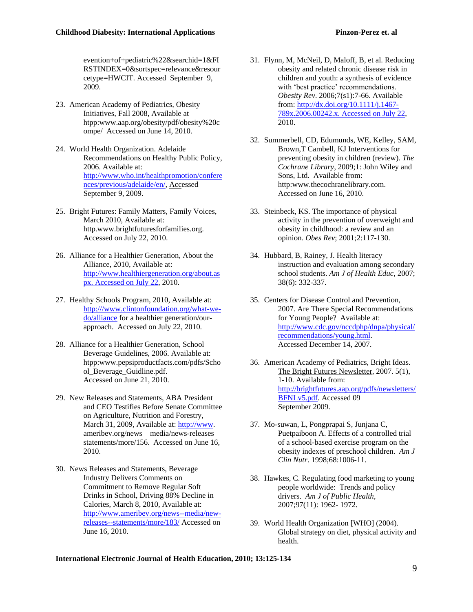evention+of+pediatric%22&searchid=1&FI RSTINDEX=0&sortspec=relevance&resour cetype=HWCIT. Accessed September 9, 2009.

- 23. American Academy of Pediatrics, Obesity Initiatives, Fall 2008, Available at htpp:www.aap.org/obesity/pdf/obesity%20c ompe/ Accessed on June 14, 2010.
- 24. World Health Organization. Adelaide Recommendations on Healthy Public Policy, 2006. Available at: [http://www.who.int/healthpromotion/confere](http://www.who.int/healthpromotion/conferences/previous/adelaide/en/) [nces/previous/adelaide/en/,](http://www.who.int/healthpromotion/conferences/previous/adelaide/en/) Accessed September 9, 2009.
- 25. Bright Futures: Family Matters, Family Voices, March 2010, Available at: http.www.brightfuturesforfamilies.org. Accessed on July 22, 2010.
- 26. Alliance for a Healthier Generation, About the Alliance, 2010, Available at: [http://www.healthiergeneration.org/about.as](http://www.healthiergeneration.org/about.aspx.%20Accessed%20on%20July%2022) [px. Accessed on July 22,](http://www.healthiergeneration.org/about.aspx.%20Accessed%20on%20July%2022) 2010.
- 27. Healthy Schools Program, 2010, Available at: [http:///www.clintonfoundation.org/what-we](http://www.clintonfoundation.org/what-we-do/alliance)[do/alliance](http://www.clintonfoundation.org/what-we-do/alliance) for a healthier generation/ourapproach. Accessed on July 22, 2010.
- 28. Alliance for a Healthier Generation, School Beverage Guidelines, 2006. Available at: htpp:www.pepsiproductfacts.com/pdfs/Scho ol\_Beverage\_Guidline.pdf. Accessed on June 21, 2010.
- 29. New Releases and Statements, ABA President and CEO Testifies Before Senate Committee on Agriculture, Nutrition and Forestry, March 31, 2009, Available at[: http://www.](http://www/) ameribev.org/news—media/news-releases statements/more/156. Accessed on June 16, 2010.
- 30. News Releases and Statements, Beverage Industry Delivers Comments on Commitment to Remove Regular Soft Drinks in School, Driving 88% Decline in Calories, March 8, 2010, Available at: [http://www.ameribev.org/news--media/new](http://www.ameribev.org/news--media/new-releases--statements/more/183/)[releases--statements/more/183/](http://www.ameribev.org/news--media/new-releases--statements/more/183/) Accessed on June 16, 2010.
- 31. Flynn, M, McNeil, D, Maloff, B, et al. Reducing obesity and related chronic disease risk in children and youth: a synthesis of evidence with 'best practice' recommendations. *Obesity Rev*. 2006;7(s1):7-66. Available from[: http://dx.doi.org/10.1111/j.1467-](http://dx.doi.org/10.1111/j.1467-789x.2006.00242.x.%20Accessed%20on%20July%2022) [789x.2006.00242.x. Accessed on July 22,](http://dx.doi.org/10.1111/j.1467-789x.2006.00242.x.%20Accessed%20on%20July%2022)  2010.
- 32. Summerbell, CD, Edumunds, WE, Kelley, SAM, Brown,T Cambell, KJ Interventions for preventing obesity in children (review). *The Cochrane Library*, 2009;1: John Wiley and Sons, Ltd. Available from: http:www.thecochranelibrary.com. Accessed on June 16, 2010.
- 33. Steinbeck, KS. The importance of physical activity in the prevention of overweight and obesity in childhood: a review and an opinion. *Obes Rev*; 2001;2:117-130.
- 34. Hubbard, B, Rainey, J. Health literacy instruction and evaluation among secondary school students. *Am J of Health Educ*, 2007; 38(6): 332-337.
- 35. Centers for Disease Control and Prevention, 2007. Are There Special Recommendations for Young People? Available at: [http://www.cdc.gov/nccdphp/dnpa/physical/](http://www.cdc.gov/nccdphp/dnpa/physical/recommendations/young.html) [recommendations/young.html.](http://www.cdc.gov/nccdphp/dnpa/physical/recommendations/young.html) Accessed December 14, 2007.
- 36. American Academy of Pediatrics, Bright Ideas. The Bright Futures Newsletter, 2007. 5(1), 1-10. Available from: [http://brightfutures.aap.org/pdfs/newsletters/](http://brightfutures.aap.org/pdfs/newsletters/BFNLv5.pdf) [BFNLv5.pdf.](http://brightfutures.aap.org/pdfs/newsletters/BFNLv5.pdf) Accessed 09 September 2009.
- 37. Mo-suwan, L, Pongprapai S, Junjana C, Puetpaiboon A. Effects of a controlled trial of a school-based exercise program on the obesity indexes of preschool children. *Am J Clin Nutr*. 1998;68:1006-11.
- 38. Hawkes, C. Regulating food marketing to young people worldwide: Trends and policy drivers. *Am J of Public Health,* 2007;97(11): 1962- 1972.
- 39. World Health Organization [WHO] (2004). Global strategy on diet, physical activity and health.